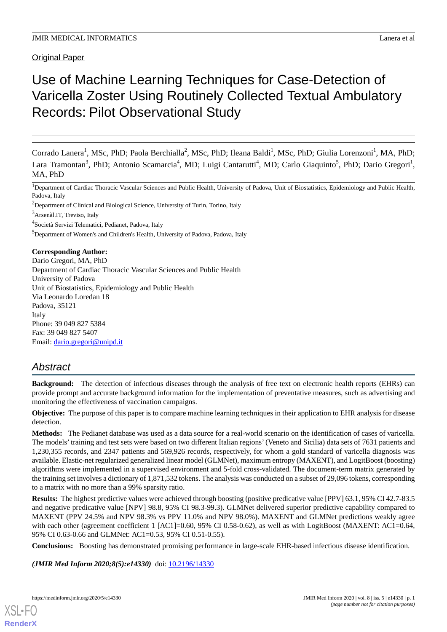Original Paper

# Use of Machine Learning Techniques for Case-Detection of Varicella Zoster Using Routinely Collected Textual Ambulatory Records: Pilot Observational Study

Corrado Lanera<sup>1</sup>, MSc, PhD; Paola Berchialla<sup>2</sup>, MSc, PhD; Ileana Baldi<sup>1</sup>, MSc, PhD; Giulia Lorenzoni<sup>1</sup>, MA, PhD; Lara Tramontan<sup>3</sup>, PhD; Antonio Scamarcia<sup>4</sup>, MD; Luigi Cantarutti<sup>4</sup>, MD; Carlo Giaquinto<sup>5</sup>, PhD; Dario Gregori<sup>1</sup>, MA, PhD

<sup>1</sup>Department of Cardiac Thoracic Vascular Sciences and Public Health, University of Padova, Unit of Biostatistics, Epidemiology and Public Health, Padova, Italy

<sup>2</sup>Department of Clinical and Biological Science, University of Turin, Torino, Italy

<sup>3</sup>Arsenàl.IT, Treviso, Italy

4 Società Servizi Telematici, Pedianet, Padova, Italy

<sup>5</sup>Department of Women's and Children's Health, University of Padova, Padova, Italy

**Corresponding Author:**

Dario Gregori, MA, PhD Department of Cardiac Thoracic Vascular Sciences and Public Health University of Padova Unit of Biostatistics, Epidemiology and Public Health Via Leonardo Loredan 18 Padova, 35121 Italy Phone: 39 049 827 5384 Fax: 39 049 827 5407 Email: [dario.gregori@unipd.it](mailto:dario.gregori@unipd.it)

# *Abstract*

**Background:** The detection of infectious diseases through the analysis of free text on electronic health reports (EHRs) can provide prompt and accurate background information for the implementation of preventative measures, such as advertising and monitoring the effectiveness of vaccination campaigns.

**Objective:** The purpose of this paper is to compare machine learning techniques in their application to EHR analysis for disease detection.

**Methods:** The Pedianet database was used as a data source for a real-world scenario on the identification of cases of varicella. The models'training and test sets were based on two different Italian regions'(Veneto and Sicilia) data sets of 7631 patients and 1,230,355 records, and 2347 patients and 569,926 records, respectively, for whom a gold standard of varicella diagnosis was available. Elastic-net regularized generalized linear model (GLMNet), maximum entropy (MAXENT), and LogitBoost (boosting) algorithms were implemented in a supervised environment and 5-fold cross-validated. The document-term matrix generated by the training set involves a dictionary of 1,871,532 tokens. The analysis was conducted on a subset of 29,096 tokens, corresponding to a matrix with no more than a 99% sparsity ratio.

**Results:** The highest predictive values were achieved through boosting (positive predicative value [PPV] 63.1, 95% CI 42.7-83.5 and negative predicative value [NPV] 98.8, 95% CI 98.3-99.3). GLMNet delivered superior predictive capability compared to MAXENT (PPV 24.5% and NPV 98.3% vs PPV 11.0% and NPV 98.0%). MAXENT and GLMNet predictions weakly agree with each other (agreement coefficient 1 [AC1]=0.60, 95% CI 0.58-0.62), as well as with LogitBoost (MAXENT: AC1=0.64, 95% CI 0.63-0.66 and GLMNet: AC1=0.53, 95% CI 0.51-0.55).

**Conclusions:** Boosting has demonstrated promising performance in large-scale EHR-based infectious disease identification.

*(JMIR Med Inform 2020;8(5):e14330)* doi: [10.2196/14330](http://dx.doi.org/10.2196/14330)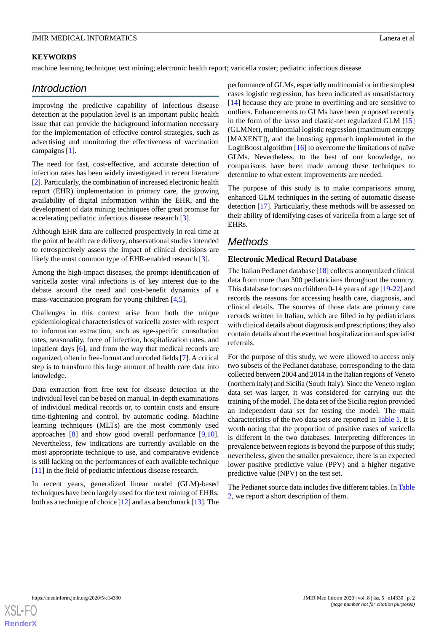# **KEYWORDS**

machine learning technique; text mining; electronic health report; varicella zoster; pediatric infectious disease

# *Introduction*

Improving the predictive capability of infectious disease detection at the population level is an important public health issue that can provide the background information necessary for the implementation of effective control strategies, such as advertising and monitoring the effectiveness of vaccination campaigns [\[1](#page-6-0)].

The need for fast, cost-effective, and accurate detection of infection rates has been widely investigated in recent literature [[2\]](#page-7-0). Particularly, the combination of increased electronic health report (EHR) implementation in primary care, the growing availability of digital information within the EHR, and the development of data mining techniques offer great promise for accelerating pediatric infectious disease research [\[3](#page-7-1)].

Although EHR data are collected prospectively in real time at the point of health care delivery, observational studies intended to retrospectively assess the impact of clinical decisions are likely the most common type of EHR-enabled research [\[3\]](#page-7-1).

Among the high-impact diseases, the prompt identification of varicella zoster viral infections is of key interest due to the debate around the need and cost-benefit dynamics of a mass-vaccination program for young children [[4](#page-7-2)[,5](#page-7-3)].

Challenges in this context arise from both the unique epidemiological characteristics of varicella zoster with respect to information extraction, such as age-specific consultation rates, seasonality, force of infection, hospitalization rates, and inpatient days [\[6](#page-7-4)], and from the way that medical records are organized, often in free-format and uncoded fields [[7\]](#page-7-5). A critical step is to transform this large amount of health care data into knowledge.

Data extraction from free text for disease detection at the individual level can be based on manual, in-depth examinations of individual medical records or, to contain costs and ensure time-tightening and control, by automatic coding. Machine learning techniques (MLTs) are the most commonly used approaches [[8](#page-7-6)] and show good overall performance [\[9](#page-7-7),[10\]](#page-7-8). Nevertheless, few indications are currently available on the most appropriate technique to use, and comparative evidence is still lacking on the performances of each available technique [[11\]](#page-7-9) in the field of pediatric infectious disease research.

In recent years, generalized linear model (GLM)-based techniques have been largely used for the text mining of EHRs, both as a technique of choice [[12\]](#page-7-10) and as a benchmark [\[13](#page-7-11)]. The

performance of GLMs, especially multinomial or in the simplest cases logistic regression, has been indicated as unsatisfactory [[14\]](#page-7-12) because they are prone to overfitting and are sensitive to outliers. Enhancements to GLMs have been proposed recently in the form of the lasso and elastic-net regularized GLM [\[15](#page-7-13)] (GLMNet), multinomial logistic regression (maximum entropy [MAXENT]), and the boosting approach implemented in the LogitBoost algorithm  $[16]$  $[16]$  to overcome the limitations of naïve GLMs. Nevertheless, to the best of our knowledge, no comparisons have been made among these techniques to determine to what extent improvements are needed.

The purpose of this study is to make comparisons among enhanced GLM techniques in the setting of automatic disease detection [\[17](#page-7-15)]. Particularly, these methods will be assessed on their ability of identifying cases of varicella from a large set of EHRs.

# *Methods*

# **Electronic Medical Record Database**

The Italian Pedianet database [[18\]](#page-7-16) collects anonymized clinical data from more than 300 pediatricians throughout the country. This database focuses on children 0-14 years of age [[19](#page-7-17)[-22](#page-7-18)] and records the reasons for accessing health care, diagnosis, and clinical details. The sources of those data are primary care records written in Italian, which are filled in by pediatricians with clinical details about diagnosis and prescriptions; they also contain details about the eventual hospitalization and specialist referrals.

For the purpose of this study, we were allowed to access only two subsets of the Pedianet database, corresponding to the data collected between 2004 and 2014 in the Italian regions of Veneto (northern Italy) and Sicilia (South Italy). Since the Veneto region data set was larger, it was considered for carrying out the training of the model. The data set of the Sicilia region provided an independent data set for testing the model. The main characteristics of the two data sets are reported in [Table 1.](#page-2-0) It is worth noting that the proportion of positive cases of varicella is different in the two databases. Interpreting differences in prevalence between regions is beyond the purpose of this study; nevertheless, given the smaller prevalence, there is an expected lower positive predictive value (PPV) and a higher negative predictive value (NPV) on the test set.

The Pedianet source data includes five different tables. In [Table](#page-2-1) [2,](#page-2-1) we report a short description of them.

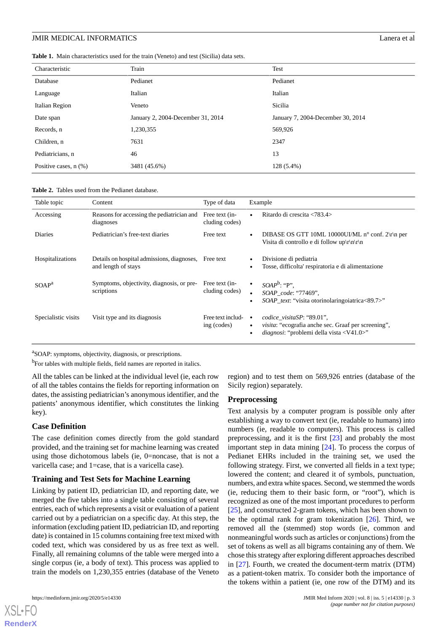<span id="page-2-0"></span>**Table 1.** Main characteristics used for the train (Veneto) and test (Sicilia) data sets.

| Characteristic             | Train                             | Test                              |
|----------------------------|-----------------------------------|-----------------------------------|
| Database                   | Pedianet                          | Pedianet                          |
| Language                   | Italian                           | Italian                           |
| Italian Region             | Veneto                            | Sicilia                           |
| Date span                  | January 2, 2004-December 31, 2014 | January 7, 2004-December 30, 2014 |
| Records, n                 | 1,230,355                         | 569,926                           |
| Children, n                | 7631                              | 2347                              |
| Pediatricians, n           | 46                                | 13                                |
| Positive cases, $n$ $(\%)$ | 3481 (45.6%)                      | $128(5.4\%)$                      |

<span id="page-2-1"></span>

| <b>Table 2.</b> Tables used from the Pedianet database. |  |  |
|---------------------------------------------------------|--|--|
|---------------------------------------------------------|--|--|

| Table topic         | Content                                                           | Type of data                     | Example                                                                                                                                                                       |
|---------------------|-------------------------------------------------------------------|----------------------------------|-------------------------------------------------------------------------------------------------------------------------------------------------------------------------------|
| Accessing           | Reasons for accessing the pediatrician and<br>diagnoses           | Free text (in-<br>cluding codes) | Ritardo di crescita <783.4>                                                                                                                                                   |
| <b>Diaries</b>      | Pediatrician's free-text diaries                                  | Free text                        | DIBASE OS GTT 10ML 10000UI/ML $n^{\circ}$ conf. 2\r\n per<br>Visita di controllo e di follow up $\r \ln \r \ln$                                                               |
| Hospitalizations    | Details on hospital admissions, diagnoses,<br>and length of stays | Free text                        | Divisione di pediatria<br>Tosse, difficolta' respiratoria e di alimentazione                                                                                                  |
| SOAP <sup>a</sup>   | Symptoms, objectivity, diagnosis, or pre-<br>scriptions           | Free text (in-<br>cluding codes) | $SOAP^b$ : "P".<br>$\bullet$<br>SOAP_code: "77469",<br><i>SOAP text:</i> "visita otorinolaringoiatrica<89.7>"                                                                 |
| Specialistic visits | Visit type and its diagnosis                                      | Free text includ-<br>ing (codes) | codice visitaSP: "89.01",<br>$\bullet$<br><i>visita:</i> "ecografia anche sec. Graaf per screening",<br>$\bullet$<br><i>diagnosi</i> : "problemi della vista <v41.0>"</v41.0> |

<sup>a</sup>SOAP: symptoms, objectivity, diagnosis, or prescriptions.

<sup>b</sup>For tables with multiple fields, field names are reported in italics.

All the tables can be linked at the individual level (ie, each row of all the tables contains the fields for reporting information on dates, the assisting pediatrician's anonymous identifier, and the patients' anonymous identifier, which constitutes the linking key).

# **Case Definition**

The case definition comes directly from the gold standard provided, and the training set for machine learning was created using those dichotomous labels (ie, 0=noncase, that is not a varicella case; and 1=case, that is a varicella case).

### **Training and Test Sets for Machine Learning**

Linking by patient ID, pediatrician ID, and reporting date, we merged the five tables into a single table consisting of several entries, each of which represents a visit or evaluation of a patient carried out by a pediatrician on a specific day. At this step, the information (excluding patient ID, pediatrician ID, and reporting date) is contained in 15 columns containing free text mixed with coded text, which was considered by us as free text as well. Finally, all remaining columns of the table were merged into a single corpus (ie, a body of text). This process was applied to train the models on 1,230,355 entries (database of the Veneto

[XSL](http://www.w3.org/Style/XSL)•FO **[RenderX](http://www.renderx.com/)**

region) and to test them on 569,926 entries (database of the Sicily region) separately.

### **Preprocessing**

Text analysis by a computer program is possible only after establishing a way to convert text (ie, readable to humans) into numbers (ie, readable to computers). This process is called preprocessing, and it is the first [[23\]](#page-7-19) and probably the most important step in data mining [\[24](#page-7-20)]. To process the corpus of Pedianet EHRs included in the training set, we used the following strategy. First, we converted all fields in a text type; lowered the content; and cleared it of symbols, punctuation, numbers, and extra white spaces. Second, we stemmed the words (ie, reducing them to their basic form, or "root"), which is recognized as one of the most important procedures to perform [[25\]](#page-8-0), and constructed 2-gram tokens, which has been shown to be the optimal rank for gram tokenization  $[26]$  $[26]$ . Third, we removed all the (stemmed) stop words (ie, common and nonmeaningful words such as articles or conjunctions) from the set of tokens as well as all bigrams containing any of them. We chose this strategy after exploring different approaches described in [[27\]](#page-8-2). Fourth, we created the document-term matrix (DTM) as a patient-token matrix. To consider both the importance of the tokens within a patient (ie, one row of the DTM) and its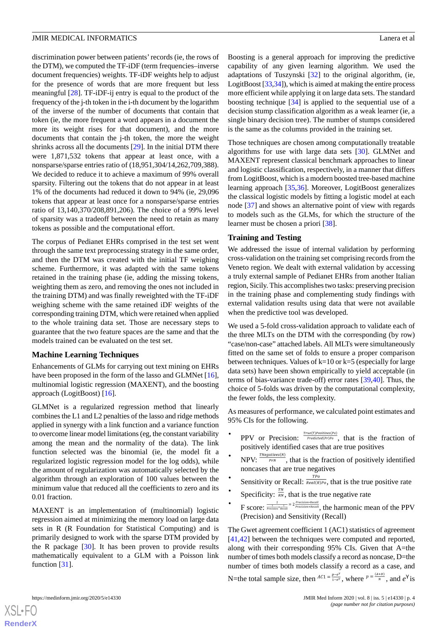discrimination power between patients'records (ie, the rows of the DTM), we computed the TF-iDF (term frequencies–inverse document frequencies) weights. TF-iDF weights help to adjust for the presence of words that are more frequent but less meaningful [[28\]](#page-8-3). TF-iDF-ij entry is equal to the product of the frequency of the j-th token in the i-th document by the logarithm of the inverse of the number of documents that contain that token (ie, the more frequent a word appears in a document the more its weight rises for that document), and the more documents that contain the j-th token, the more the weight shrinks across all the documents [[29\]](#page-8-4). In the initial DTM there were 1,871,532 tokens that appear at least once, with a nonsparse/sparse entries ratio of (18,951,304/14,262,709,388). We decided to reduce it to achieve a maximum of 99% overall sparsity. Filtering out the tokens that do not appear in at least 1% of the documents had reduced it down to 94% (ie, 29,096 tokens that appear at least once for a nonsparse/sparse entries ratio of 13,140,370/208,891,206). The choice of a 99% level of sparsity was a tradeoff between the need to retain as many tokens as possible and the computational effort.

The corpus of Pedianet EHRs comprised in the test set went through the same text preprocessing strategy in the same order, and then the DTM was created with the initial TF weighing scheme. Furthermore, it was adapted with the same tokens retained in the training phase (ie, adding the missing tokens, weighting them as zero, and removing the ones not included in the training DTM) and was finally reweighted with the TF-iDF weighing scheme with the same retained iDF weights of the corresponding training DTM, which were retained when applied to the whole training data set. Those are necessary steps to guarantee that the two feature spaces are the same and that the models trained can be evaluated on the test set.

#### **Machine Learning Techniques**

Enhancements of GLMs for carrying out text mining on EHRs have been proposed in the form of the lasso and GLMNet [[16\]](#page-7-14), multinomial logistic regression (MAXENT), and the boosting approach (LogitBoost) [\[16](#page-7-14)].

GLMNet is a regularized regression method that linearly combines the L1 and L2 penalties of the lasso and ridge methods applied in synergy with a link function and a variance function to overcome linear model limitations (eg, the constant variability among the mean and the normality of the data). The link function selected was the binomial (ie, the model fit a regularized logistic regression model for the log odds), while the amount of regularization was automatically selected by the algorithm through an exploration of 100 values between the minimum value that reduced all the coefficients to zero and its 0.01 fraction.

MAXENT is an implementation of (multinomial) logistic regression aimed at minimizing the memory load on large data sets in R (R Foundation for Statistical Computing) and is primarily designed to work with the sparse DTM provided by the R package [[30\]](#page-8-5). It has been proven to provide results mathematically equivalent to a GLM with a Poisson link function [[31\]](#page-8-6).

Boosting is a general approach for improving the predictive capability of any given learning algorithm. We used the adaptations of Tuszynski [[32\]](#page-8-7) to the original algorithm, (ie, LogitBoost [[33](#page-8-8),[34\]](#page-8-9)), which is aimed at making the entire process more efficient while applying it on large data sets. The standard boosting technique [[34\]](#page-8-9) is applied to the sequential use of a decision stump classification algorithm as a weak learner (ie, a single binary decision tree). The number of stumps considered is the same as the columns provided in the training set.

Those techniques are chosen among computationally treatable algorithms for use with large data sets [\[30](#page-8-5)]. GLMNet and MAXENT represent classical benchmark approaches to linear and logistic classification, respectively, in a manner that differs from LogitBoost, which is a modern boosted tree-based machine learning approach [\[35](#page-8-10),[36\]](#page-8-11). Moreover, LogitBoost generalizes the classical logistic models by fitting a logistic model at each node [\[37](#page-8-12)] and shows an alternative point of view with regards to models such as the GLMs, for which the structure of the learner must be chosen a priori [\[38](#page-8-13)].

#### **Training and Testing**

We addressed the issue of internal validation by performing cross-validation on the training set comprising records from the Veneto region. We dealt with external validation by accessing a truly external sample of Pedianet EHRs from another Italian region, Sicily. This accomplishes two tasks: preserving precision in the training phase and complementing study findings with external validation results using data that were not available when the predictive tool was developed.

We used a 5-fold cross-validation approach to validate each of the three MLTs on the DTM with the corresponding (by row) "case/non-case" attached labels. All MLTs were simultaneously fitted on the same set of folds to ensure a proper comparison between techniques. Values of  $k=10$  or  $k=5$  (especially for large data sets) have been shown empirically to yield acceptable (in terms of bias-variance trade-off) error rates [\[39](#page-8-14)[,40](#page-8-15)]. Thus, the choice of 5-folds was driven by the computational complexity, the fewer folds, the less complexity.

As measures of performance, we calculated point estimates and 95% CIs for the following.

- PPV or Precision:  $\frac{True(T) Positive(S|P_O)}{Predicted(PT)P_O}$ , that is the fraction of positively identified cases that are true positives
- **NPV:**  $\frac{N_{regatives(N)}}{P_{FN}}$ , that is the fraction of positively identified noncases that are true negatives
- TPo • Sensitivity or Recall:  $\frac{TP}{Real(R)Po}$ , that is the true positive rate
- Specificity:  $\frac{TN}{RN}$ , that is the true negative rate
- $F$  score:  $\frac{1}{\frac{1}{\text{Precision} + \text{Recall}}} = 2 \frac{\text{Precision} \cdot \text{Recall}}{\text{Precision} + \text{Recall}}$ , the harmonic mean of the PPV (Precision) and Sensitivity (Recall)

The Gwet agreement coefficient 1 (AC1) statistics of agreement [[41,](#page-8-16)[42\]](#page-8-17) between the techniques were computed and reported, along with their corresponding 95% CIs. Given that A=the number of times both models classify a record as noncase, D=the number of times both models classify a record as a case, and

N=the total sample size, then  ${}^{AC1} = \frac{p - e^r}{1 - e^r}$ , where  ${}^{p} = \frac{(A + D)}{N}$ , and  $e^{\gamma}$  is

[XSL](http://www.w3.org/Style/XSL)•FO **[RenderX](http://www.renderx.com/)**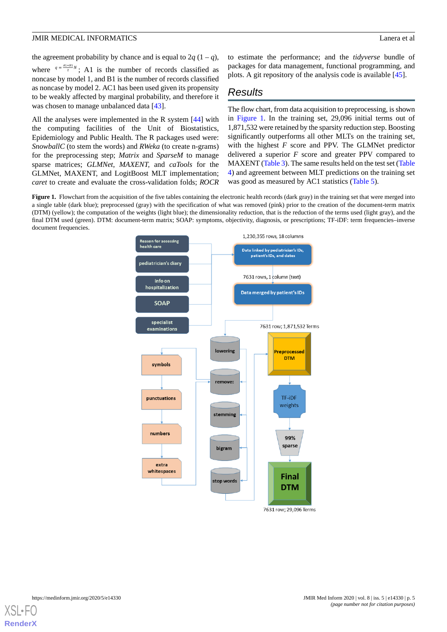the agreement probability by chance and is equal to  $2q(1-q)$ , where  $q = \frac{A1+B1}{2}N$ ; A1 is the number of records classified as noncase by model 1, and B1 is the number of records classified as noncase by model 2. AC1 has been used given its propensity to be weakly affected by marginal probability, and therefore it was chosen to manage unbalanced data [\[43](#page-8-18)].

All the analyses were implemented in the R system [[44\]](#page-8-19) with the computing facilities of the Unit of Biostatistics, Epidemiology and Public Health. The R packages used were: *SnowballC* (to stem the words) and *RWeka* (to create n-grams) for the preprocessing step; *Matrix* and *SparseM* to manage sparse matrices; *GLMNet*, *MAXENT,* and *caTools* for the GLMNet, MAXENT, and LogitBoost MLT implementation; *caret* to create and evaluate the cross-validation folds; *ROCR* to estimate the performance; and the *tidyverse* bundle of packages for data management, functional programming, and plots. A git repository of the analysis code is available [\[45](#page-8-20)].

# *Results*

The flow chart, from data acquisition to preprocessing, is shown in [Figure 1](#page-4-0). In the training set, 29,096 initial terms out of 1,871,532 were retained by the sparsity reduction step. Boosting significantly outperforms all other MLTs on the training set, with the highest *F* score and PPV. The GLMNet predictor delivered a superior *F* score and greater PPV compared to MAXENT [\(Table 3\)](#page-5-0). The same results held on the test set [\(Table](#page-5-1) [4\)](#page-5-1) and agreement between MLT predictions on the training set was good as measured by AC1 statistics ([Table 5\)](#page-5-2).

<span id="page-4-0"></span>**Figure 1.** Flowchart from the acquisition of the five tables containing the electronic health records (dark gray) in the training set that were merged into a single table (dark blue); preprocessed (gray) with the specification of what was removed (pink) prior to the creation of the document-term matrix (DTM) (yellow); the computation of the weights (light blue); the dimensionality reduction, that is the reduction of the terms used (light gray), and the final DTM used (green). DTM: document-term matrix; SOAP: symptoms, objectivity, diagnosis, or prescriptions; TF-iDF: term frequencies–inverse document frequencies.



7631 row; 29,096 Terms

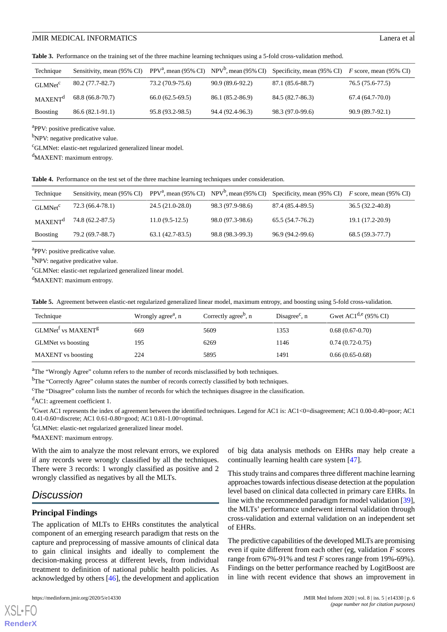<span id="page-5-0"></span>**Table 3.** Performance on the training set of the three machine learning techniques using a 5-fold cross-validation method.

| Technique           | Sensitivity, mean (95% CI) |                   |                  | PPV <sup>a</sup> , mean (95% CI) NPV <sup>b</sup> , mean (95% CI) Specificity, mean (95% CI) F score, mean (95% CI) |                   |
|---------------------|----------------------------|-------------------|------------------|---------------------------------------------------------------------------------------------------------------------|-------------------|
| GLMNet <sup>c</sup> | $80.2(77.7-82.7)$          | 73.2 (70.9-75.6)  | 90.9 (89.6-92.2) | 87.1 (85.6-88.7)                                                                                                    | 76.5 (75.6-77.5)  |
| MAXENT <sup>d</sup> | 68.8 (66.8-70.7)           | $66.0(62.5-69.5)$ | 86.1 (85.2-86.9) | 84.5 (82.7-86.3)                                                                                                    | $67.4(64.7-70.0)$ |
| <b>Boosting</b>     | 86.6 (82.1-91.1)           | 95.8 (93.2-98.5)  | 94.4 (92.4-96.3) | 98.3 (97.0-99.6)                                                                                                    | 90.9 (89.7-92.1)  |

<sup>a</sup>PPV: positive predicative value.

<sup>b</sup>NPV: negative predicative value.

<sup>c</sup>GLMNet: elastic-net regularized generalized linear model.

<span id="page-5-1"></span> $d$ MAXENT: maximum entropy.

**Table 4.** Performance on the test set of the three machine learning techniques under consideration.

| Technique           |                  |                   |                  | Sensitivity, mean (95% CI) PPV <sup>a</sup> , mean (95% CI) NPV <sup>b</sup> , mean (95% CI) Specificity, mean (95% CI) F score, mean (95% CI) |                  |
|---------------------|------------------|-------------------|------------------|------------------------------------------------------------------------------------------------------------------------------------------------|------------------|
| GLMNet <sup>c</sup> | 72.3 (66.4-78.1) | $24.5(21.0-28.0)$ | 98.3 (97.9-98.6) | 87.4 (85.4-89.5)                                                                                                                               | 36.5 (32.2-40.8) |
| MAXENT <sup>d</sup> | 74.8 (62.2-87.5) | $11.0(9.5-12.5)$  | 98.0 (97.3-98.6) | $65.5(54.7-76.2)$                                                                                                                              | 19.1 (17.2-20.9) |
| <b>Boosting</b>     | 79.2 (69.7-88.7) | $63.1(42.7-83.5)$ | 98.8 (98.3-99.3) | 96.9 (94.2-99.6)                                                                                                                               | 68.5 (59.3-77.7) |

<sup>a</sup>PPV: positive predicative value.

<sup>b</sup>NPV: negative predicative value.

<span id="page-5-2"></span><sup>c</sup>GLMNet: elastic-net regularized generalized linear model.

 $d$ MAXENT: maximum entropy.

|  |  |  |  | Table 5. Agreement between elastic-net regularized generalized linear model, maximum entropy, and boosting using 5-fold cross-validation. |
|--|--|--|--|-------------------------------------------------------------------------------------------------------------------------------------------|
|  |  |  |  |                                                                                                                                           |

| Technique                                  | Wrongly agree <sup>a</sup> , n | Correctly agree <sup>b</sup> , n | Disagree <sup>c</sup> , $n$ | Gwet $AC1^{d,e}$ (95% CI) |
|--------------------------------------------|--------------------------------|----------------------------------|-----------------------------|---------------------------|
| GLMNet <sup>f</sup> vs MAXENT <sup>g</sup> | 669                            | 5609                             | 1353                        | $0.68(0.67-0.70)$         |
| <b>GLMNet</b> vs boosting                  | 195                            | 6269                             | 1146                        | $0.74(0.72-0.75)$         |
| <b>MAXENT</b> vs boosting                  | 224                            | 5895                             | 1491                        | $0.66(0.65-0.68)$         |

<sup>a</sup>The "Wrongly Agree" column refers to the number of records misclassified by both techniques.

<sup>b</sup>The "Correctly Agree" column states the number of records correctly classified by both techniques.

<sup>c</sup>The "Disagree" column lists the number of records for which the techniques disagree in the classification.

<sup>d</sup>AC1: agreement coefficient 1.

<sup>e</sup>Gwet AC1 represents the index of agreement between the identified techniques. Legend for AC1 is: AC1<0=disagreement; AC1 0.00-0.40=poor; AC1 0.41-0.60=discrete; AC1 0.61-0.80=good; AC1 0.81-1.00=optimal.

<sup>I</sup>GLMNet: elastic-net regularized generalized linear model.

<sup>g</sup>MAXENT: maximum entropy.

With the aim to analyze the most relevant errors, we explored if any records were wrongly classified by all the techniques. There were 3 records: 1 wrongly classified as positive and 2 wrongly classified as negatives by all the MLTs.

# *Discussion*

[XSL](http://www.w3.org/Style/XSL)•FO **[RenderX](http://www.renderx.com/)**

### **Principal Findings**

The application of MLTs to EHRs constitutes the analytical component of an emerging research paradigm that rests on the capture and preprocessing of massive amounts of clinical data to gain clinical insights and ideally to complement the decision-making process at different levels, from individual treatment to definition of national public health policies. As acknowledged by others [\[46](#page-8-21)], the development and application

of big data analysis methods on EHRs may help create a continually learning health care system [\[47](#page-8-22)].

This study trains and compares three different machine learning approaches towards infectious disease detection at the population level based on clinical data collected in primary care EHRs. In line with the recommended paradigm for model validation [\[39](#page-8-14)], the MLTs' performance underwent internal validation through cross-validation and external validation on an independent set of EHRs.

The predictive capabilities of the developed MLTs are promising even if quite different from each other (eg, validation *F* scores range from 67%-91% and test *F* scores range from 19%-69%). Findings on the better performance reached by LogitBoost are in line with recent evidence that shows an improvement in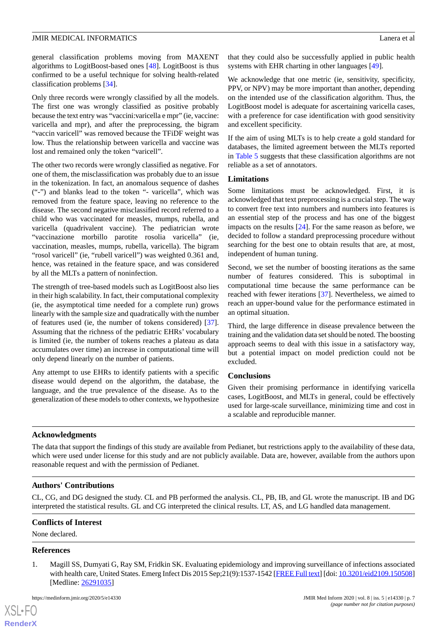general classification problems moving from MAXENT algorithms to LogitBoost-based ones [\[48](#page-8-23)]. LogitBoost is thus confirmed to be a useful technique for solving health-related classification problems [[34\]](#page-8-9).

Only three records were wrongly classified by all the models. The first one was wrongly classified as positive probably because the text entry was "vaccini:varicella e mpr" (ie, vaccine: varicella and mpr), and after the preprocessing, the bigram "vaccin varicell" was removed because the TFiDF weight was low. Thus the relationship between varicella and vaccine was lost and remained only the token "varicell".

The other two records were wrongly classified as negative. For one of them, the misclassification was probably due to an issue in the tokenization. In fact, an anomalous sequence of dashes ("-") and blanks lead to the token "- varicella", which was removed from the feature space, leaving no reference to the disease. The second negative misclassified record referred to a child who was vaccinated for measles, mumps, rubella, and varicella (quadrivalent vaccine). The pediatrician wrote "vaccinazione morbillo parotite rosolia varicella" (ie, vaccination, measles, mumps, rubella, varicella). The bigram "rosol varicell" (ie, "rubell varicell") was weighted 0.361 and, hence, was retained in the feature space, and was considered by all the MLTs a pattern of noninfection.

The strength of tree-based models such as LogitBoost also lies in their high scalability. In fact, their computational complexity (ie, the asymptotical time needed for a complete run) grows linearly with the sample size and quadratically with the number of features used (ie, the number of tokens considered) [[37\]](#page-8-12). Assuming that the richness of the pediatric EHRs' vocabulary is limited (ie, the number of tokens reaches a plateau as data accumulates over time) an increase in computational time will only depend linearly on the number of patients.

Any attempt to use EHRs to identify patients with a specific disease would depend on the algorithm, the database, the language, and the true prevalence of the disease. As to the generalization of these models to other contexts, we hypothesize

that they could also be successfully applied in public health systems with EHR charting in other languages [\[49](#page-8-24)].

We acknowledge that one metric (ie, sensitivity, specificity, PPV, or NPV) may be more important than another, depending on the intended use of the classification algorithm. Thus, the LogitBoost model is adequate for ascertaining varicella cases, with a preference for case identification with good sensitivity and excellent specificity.

If the aim of using MLTs is to help create a gold standard for databases, the limited agreement between the MLTs reported in [Table 5](#page-5-2) suggests that these classification algorithms are not reliable as a set of annotators.

### **Limitations**

Some limitations must be acknowledged. First, it is acknowledged that text preprocessing is a crucial step. The way to convert free text into numbers and numbers into features is an essential step of the process and has one of the biggest impacts on the results [\[24](#page-7-20)]. For the same reason as before, we decided to follow a standard preprocessing procedure without searching for the best one to obtain results that are, at most, independent of human tuning.

Second, we set the number of boosting iterations as the same number of features considered. This is suboptimal in computational time because the same performance can be reached with fewer iterations [\[37](#page-8-12)]. Nevertheless, we aimed to reach an upper-bound value for the performance estimated in an optimal situation.

Third, the large difference in disease prevalence between the training and the validation data set should be noted. The boosting approach seems to deal with this issue in a satisfactory way, but a potential impact on model prediction could not be excluded.

### **Conclusions**

Given their promising performance in identifying varicella cases, LogitBoost, and MLTs in general, could be effectively used for large-scale surveillance, minimizing time and cost in a scalable and reproducible manner.

### **Acknowledgments**

The data that support the findings of this study are available from Pedianet, but restrictions apply to the availability of these data, which were used under license for this study and are not publicly available. Data are, however, available from the authors upon reasonable request and with the permission of Pedianet.

# **Authors' Contributions**

<span id="page-6-0"></span>CL, CG, and DG designed the study. CL and PB performed the analysis. CL, PB, IB, and GL wrote the manuscript. IB and DG interpreted the statistical results. GL and CG interpreted the clinical results. LT, AS, and LG handled data management.

### **Conflicts of Interest**

None declared.

### **References**

 $XS$ -FO **[RenderX](http://www.renderx.com/)**

1. Magill SS, Dumyati G, Ray SM, Fridkin SK. Evaluating epidemiology and improving surveillance of infections associated with health care, United States. Emerg Infect Dis 2015 Sep; 21(9): 1537-1542 [[FREE Full text\]](https://dx.doi.org/10.3201/eid2109.150508) [doi: [10.3201/eid2109.150508](http://dx.doi.org/10.3201/eid2109.150508)] [Medline: [26291035](http://www.ncbi.nlm.nih.gov/entrez/query.fcgi?cmd=Retrieve&db=PubMed&list_uids=26291035&dopt=Abstract)]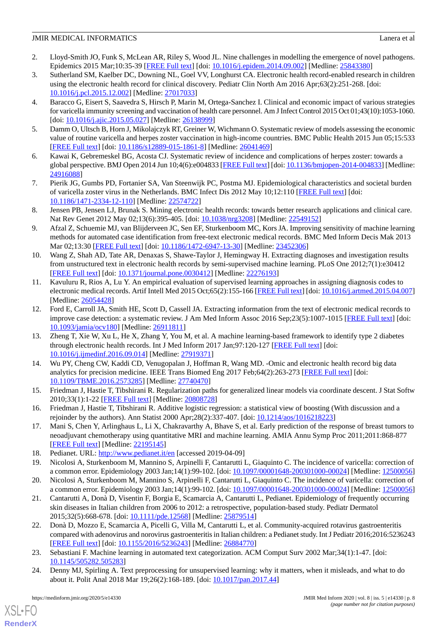- <span id="page-7-0"></span>2. Lloyd-Smith JO, Funk S, McLean AR, Riley S, Wood JL. Nine challenges in modelling the emergence of novel pathogens. Epidemics 2015 Mar;10:35-39 [\[FREE Full text\]](https://linkinghub.elsevier.com/retrieve/pii/S1755-4365(14)00050-4) [doi: [10.1016/j.epidem.2014.09.002](http://dx.doi.org/10.1016/j.epidem.2014.09.002)] [Medline: [25843380](http://www.ncbi.nlm.nih.gov/entrez/query.fcgi?cmd=Retrieve&db=PubMed&list_uids=25843380&dopt=Abstract)]
- <span id="page-7-1"></span>3. Sutherland SM, Kaelber DC, Downing NL, Goel VV, Longhurst CA. Electronic health record-enabled research in children using the electronic health record for clinical discovery. Pediatr Clin North Am 2016 Apr;63(2):251-268. [doi: [10.1016/j.pcl.2015.12.002\]](http://dx.doi.org/10.1016/j.pcl.2015.12.002) [Medline: [27017033\]](http://www.ncbi.nlm.nih.gov/entrez/query.fcgi?cmd=Retrieve&db=PubMed&list_uids=27017033&dopt=Abstract)
- <span id="page-7-2"></span>4. Baracco G, Eisert S, Saavedra S, Hirsch P, Marin M, Ortega-Sanchez I. Clinical and economic impact of various strategies for varicella immunity screening and vaccination of health care personnel. Am J Infect Control 2015 Oct 01;43(10):1053-1060. [doi: [10.1016/j.ajic.2015.05.027](http://dx.doi.org/10.1016/j.ajic.2015.05.027)] [Medline: [26138999](http://www.ncbi.nlm.nih.gov/entrez/query.fcgi?cmd=Retrieve&db=PubMed&list_uids=26138999&dopt=Abstract)]
- <span id="page-7-4"></span><span id="page-7-3"></span>5. Damm O, Ultsch B, Horn J, Mikolajczyk RT, Greiner W, Wichmann O. Systematic review of models assessing the economic value of routine varicella and herpes zoster vaccination in high-income countries. BMC Public Health 2015 Jun 05;15:533 [[FREE Full text](https://bmcpublichealth.biomedcentral.com/articles/10.1186/s12889-015-1861-8)] [doi: [10.1186/s12889-015-1861-8\]](http://dx.doi.org/10.1186/s12889-015-1861-8) [Medline: [26041469](http://www.ncbi.nlm.nih.gov/entrez/query.fcgi?cmd=Retrieve&db=PubMed&list_uids=26041469&dopt=Abstract)]
- <span id="page-7-5"></span>6. Kawai K, Gebremeskel BG, Acosta CJ. Systematic review of incidence and complications of herpes zoster: towards a global perspective. BMJ Open 2014 Jun 10;4(6):e004833 [[FREE Full text\]](http://bmjopen.bmj.com/cgi/pmidlookup?view=long&pmid=24916088) [doi: [10.1136/bmjopen-2014-004833](http://dx.doi.org/10.1136/bmjopen-2014-004833)] [Medline: [24916088](http://www.ncbi.nlm.nih.gov/entrez/query.fcgi?cmd=Retrieve&db=PubMed&list_uids=24916088&dopt=Abstract)]
- <span id="page-7-6"></span>7. Pierik JG, Gumbs PD, Fortanier SA, Van Steenwijk PC, Postma MJ. Epidemiological characteristics and societal burden of varicella zoster virus in the Netherlands. BMC Infect Dis 2012 May 10;12:110 [[FREE Full text](https://bmcinfectdis.biomedcentral.com/articles/10.1186/1471-2334-12-110)] [doi: [10.1186/1471-2334-12-110\]](http://dx.doi.org/10.1186/1471-2334-12-110) [Medline: [22574722\]](http://www.ncbi.nlm.nih.gov/entrez/query.fcgi?cmd=Retrieve&db=PubMed&list_uids=22574722&dopt=Abstract)
- <span id="page-7-7"></span>8. Jensen PB, Jensen LJ, Brunak S. Mining electronic health records: towards better research applications and clinical care. Nat Rev Genet 2012 May 02;13(6):395-405. [doi: [10.1038/nrg3208\]](http://dx.doi.org/10.1038/nrg3208) [Medline: [22549152\]](http://www.ncbi.nlm.nih.gov/entrez/query.fcgi?cmd=Retrieve&db=PubMed&list_uids=22549152&dopt=Abstract)
- <span id="page-7-8"></span>9. Afzal Z, Schuemie MJ, van Blijderveen JC, Sen EF, Sturkenboom MC, Kors JA. Improving sensitivity of machine learning methods for automated case identification from free-text electronic medical records. BMC Med Inform Decis Mak 2013 Mar 02;13:30 [\[FREE Full text\]](https://bmcmedinformdecismak.biomedcentral.com/articles/10.1186/1472-6947-13-30) [doi: [10.1186/1472-6947-13-30\]](http://dx.doi.org/10.1186/1472-6947-13-30) [Medline: [23452306\]](http://www.ncbi.nlm.nih.gov/entrez/query.fcgi?cmd=Retrieve&db=PubMed&list_uids=23452306&dopt=Abstract)
- <span id="page-7-9"></span>10. Wang Z, Shah AD, Tate AR, Denaxas S, Shawe-Taylor J, Hemingway H. Extracting diagnoses and investigation results from unstructured text in electronic health records by semi-supervised machine learning. PLoS One 2012;7(1):e30412 [[FREE Full text](http://dx.plos.org/10.1371/journal.pone.0030412)] [doi: [10.1371/journal.pone.0030412](http://dx.doi.org/10.1371/journal.pone.0030412)] [Medline: [22276193](http://www.ncbi.nlm.nih.gov/entrez/query.fcgi?cmd=Retrieve&db=PubMed&list_uids=22276193&dopt=Abstract)]
- <span id="page-7-10"></span>11. Kavuluru R, Rios A, Lu Y. An empirical evaluation of supervised learning approaches in assigning diagnosis codes to electronic medical records. Artif Intell Med 2015 Oct;65(2):155-166 [[FREE Full text](http://europepmc.org/abstract/MED/26054428)] [doi: [10.1016/j.artmed.2015.04.007](http://dx.doi.org/10.1016/j.artmed.2015.04.007)] [Medline: [26054428](http://www.ncbi.nlm.nih.gov/entrez/query.fcgi?cmd=Retrieve&db=PubMed&list_uids=26054428&dopt=Abstract)]
- <span id="page-7-11"></span>12. Ford E, Carroll JA, Smith HE, Scott D, Cassell JA. Extracting information from the text of electronic medical records to improve case detection: a systematic review. J Am Med Inform Assoc 2016 Sep;23(5):1007-1015 [\[FREE Full text\]](http://europepmc.org/abstract/MED/26911811) [doi: [10.1093/jamia/ocv180](http://dx.doi.org/10.1093/jamia/ocv180)] [Medline: [26911811](http://www.ncbi.nlm.nih.gov/entrez/query.fcgi?cmd=Retrieve&db=PubMed&list_uids=26911811&dopt=Abstract)]
- <span id="page-7-12"></span>13. Zheng T, Xie W, Xu L, He X, Zhang Y, You M, et al. A machine learning-based framework to identify type 2 diabetes through electronic health records. Int J Med Inform 2017 Jan;97:120-127 [\[FREE Full text\]](http://europepmc.org/abstract/MED/27919371) [doi: [10.1016/j.ijmedinf.2016.09.014\]](http://dx.doi.org/10.1016/j.ijmedinf.2016.09.014) [Medline: [27919371](http://www.ncbi.nlm.nih.gov/entrez/query.fcgi?cmd=Retrieve&db=PubMed&list_uids=27919371&dopt=Abstract)]
- <span id="page-7-14"></span><span id="page-7-13"></span>14. Wu PY, Cheng CW, Kaddi CD, Venugopalan J, Hoffman R, Wang MD. -Omic and electronic health record big data analytics for precision medicine. IEEE Trans Biomed Eng 2017 Feb;64(2):263-273 [\[FREE Full text\]](http://europepmc.org/abstract/MED/27740470) [doi: [10.1109/TBME.2016.2573285\]](http://dx.doi.org/10.1109/TBME.2016.2573285) [Medline: [27740470](http://www.ncbi.nlm.nih.gov/entrez/query.fcgi?cmd=Retrieve&db=PubMed&list_uids=27740470&dopt=Abstract)]
- <span id="page-7-15"></span>15. Friedman J, Hastie T, Tibshirani R. Regularization paths for generalized linear models via coordinate descent. J Stat Softw 2010;33(1):1-22 [[FREE Full text](http://europepmc.org/abstract/MED/20808728)] [Medline: [20808728](http://www.ncbi.nlm.nih.gov/entrez/query.fcgi?cmd=Retrieve&db=PubMed&list_uids=20808728&dopt=Abstract)]
- <span id="page-7-17"></span><span id="page-7-16"></span>16. Friedman J, Hastie T, Tibshirani R. Additive logistic regression: a statistical view of boosting (With discussion and a rejoinder by the authors). Ann Statist 2000 Apr;28(2):337-407. [doi: [10.1214/aos/1016218223\]](http://dx.doi.org/10.1214/aos/1016218223)
- 17. Mani S, Chen Y, Arlinghaus L, Li X, Chakravarthy A, Bhave S, et al. Early prediction of the response of breast tumors to neoadjuvant chemotherapy using quantitative MRI and machine learning. AMIA Annu Symp Proc 2011;2011:868-877 [[FREE Full text](http://europepmc.org/abstract/MED/22195145)] [Medline: [22195145](http://www.ncbi.nlm.nih.gov/entrez/query.fcgi?cmd=Retrieve&db=PubMed&list_uids=22195145&dopt=Abstract)]
- 18. Pedianet. URL:<http://www.pedianet.it/en> [accessed 2019-04-09]
- 19. Nicolosi A, Sturkenboom M, Mannino S, Arpinelli F, Cantarutti L, Giaquinto C. The incidence of varicella: correction of a common error. Epidemiology 2003 Jan;14(1):99-102. [doi: [10.1097/00001648-200301000-00024](http://dx.doi.org/10.1097/00001648-200301000-00024)] [Medline: [12500056](http://www.ncbi.nlm.nih.gov/entrez/query.fcgi?cmd=Retrieve&db=PubMed&list_uids=12500056&dopt=Abstract)]
- <span id="page-7-18"></span>20. Nicolosi A, Sturkenboom M, Mannino S, Arpinelli F, Cantarutti L, Giaquinto C. The incidence of varicella: correction of a common error. Epidemiology 2003 Jan;14(1):99-102. [doi: [10.1097/00001648-200301000-00024](http://dx.doi.org/10.1097/00001648-200301000-00024)] [Medline: [12500056](http://www.ncbi.nlm.nih.gov/entrez/query.fcgi?cmd=Retrieve&db=PubMed&list_uids=12500056&dopt=Abstract)]
- <span id="page-7-19"></span>21. Cantarutti A, Donà D, Visentin F, Borgia E, Scamarcia A, Cantarutti L, Pedianet. Epidemiology of frequently occurring skin diseases in Italian children from 2006 to 2012: a retrospective, population-based study. Pediatr Dermatol 2015;32(5):668-678. [doi: [10.1111/pde.12568\]](http://dx.doi.org/10.1111/pde.12568) [Medline: [25879514](http://www.ncbi.nlm.nih.gov/entrez/query.fcgi?cmd=Retrieve&db=PubMed&list_uids=25879514&dopt=Abstract)]
- <span id="page-7-20"></span>22. Donà D, Mozzo E, Scamarcia A, Picelli G, Villa M, Cantarutti L, et al. Community-acquired rotavirus gastroenteritis compared with adenovirus and norovirus gastroenteritis in Italian children: a Pedianet study. Int J Pediatr 2016;2016:5236243 [[FREE Full text](https://doi.org/10.1155/2016/5236243)] [doi: [10.1155/2016/5236243\]](http://dx.doi.org/10.1155/2016/5236243) [Medline: [26884770](http://www.ncbi.nlm.nih.gov/entrez/query.fcgi?cmd=Retrieve&db=PubMed&list_uids=26884770&dopt=Abstract)]
- 23. Sebastiani F. Machine learning in automated text categorization. ACM Comput Surv 2002 Mar;34(1):1-47. [doi: [10.1145/505282.505283](http://dx.doi.org/10.1145/505282.505283)]
- 24. Denny MJ, Spirling A. Text preprocessing for unsupervised learning: why it matters, when it misleads, and what to do about it. Polit Anal 2018 Mar 19;26(2):168-189. [doi: [10.1017/pan.2017.44](http://dx.doi.org/10.1017/pan.2017.44)]

[XSL](http://www.w3.org/Style/XSL)•FO **[RenderX](http://www.renderx.com/)**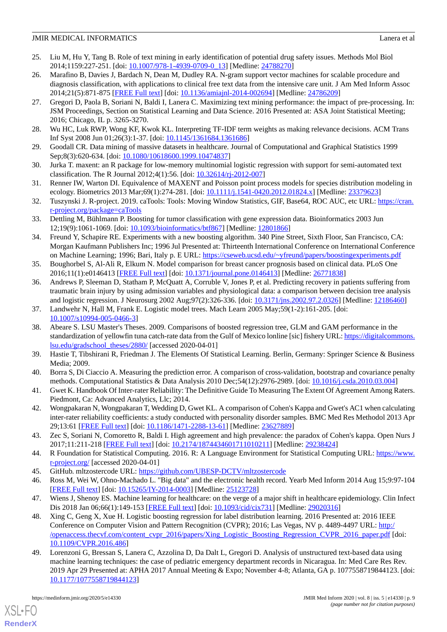- <span id="page-8-0"></span>25. Liu M, Hu Y, Tang B. Role of text mining in early identification of potential drug safety issues. Methods Mol Biol 2014;1159:227-251. [doi: [10.1007/978-1-4939-0709-0\\_13](http://dx.doi.org/10.1007/978-1-4939-0709-0_13)] [Medline: [24788270](http://www.ncbi.nlm.nih.gov/entrez/query.fcgi?cmd=Retrieve&db=PubMed&list_uids=24788270&dopt=Abstract)]
- <span id="page-8-1"></span>26. Marafino B, Davies J, Bardach N, Dean M, Dudley RA. N-gram support vector machines for scalable procedure and diagnosis classification, with applications to clinical free text data from the intensive care unit. J Am Med Inform Assoc 2014;21(5):871-875 [[FREE Full text](http://europepmc.org/abstract/MED/24786209)] [doi: [10.1136/amiajnl-2014-002694](http://dx.doi.org/10.1136/amiajnl-2014-002694)] [Medline: [24786209](http://www.ncbi.nlm.nih.gov/entrez/query.fcgi?cmd=Retrieve&db=PubMed&list_uids=24786209&dopt=Abstract)]
- <span id="page-8-2"></span>27. Gregori D, Paola B, Soriani N, Baldi I, Lanera C. Maximizing text mining performance: the impact of pre-processing. In: JSM Proceedings, Section on Statistical Learning and Data Science. 2016 Presented at: ASA Joint Statistical Meeting; 2016; Chicago, IL p. 3265-3270.
- <span id="page-8-4"></span><span id="page-8-3"></span>28. Wu HC, Luk RWP, Wong KF, Kwok KL. Interpreting TF-IDF term weights as making relevance decisions. ACM Trans Inf Syst 2008 Jun 01;26(3):1-37. [doi: [10.1145/1361684.1361686](http://dx.doi.org/10.1145/1361684.1361686)]
- <span id="page-8-5"></span>29. Goodall CR. Data mining of massive datasets in healthcare. Journal of Computational and Graphical Statistics 1999 Sep;8(3):620-634. [doi: [10.1080/10618600.1999.10474837\]](http://dx.doi.org/10.1080/10618600.1999.10474837)
- <span id="page-8-6"></span>30. Jurka T. maxent: an R package for low-memory multinomial logistic regression with support for semi-automated text classification. The R Journal 2012;4(1):56. [doi: [10.32614/rj-2012-007\]](http://dx.doi.org/10.32614/rj-2012-007)
- <span id="page-8-7"></span>31. Renner IW, Warton DI. Equivalence of MAXENT and Poisson point process models for species distribution modeling in ecology. Biometrics 2013 Mar;69(1):274-281. [doi: [10.1111/j.1541-0420.2012.01824.x](http://dx.doi.org/10.1111/j.1541-0420.2012.01824.x)] [Medline: [23379623](http://www.ncbi.nlm.nih.gov/entrez/query.fcgi?cmd=Retrieve&db=PubMed&list_uids=23379623&dopt=Abstract)]
- <span id="page-8-8"></span>32. Tuszynski J. R-project. 2019. caTools: Tools: Moving Window Statistics, GIF, Base64, ROC AUC, etc URL: [https://cran.](https://cran.r-project.org/package=caTools) [r-project.org/package=caTools](https://cran.r-project.org/package=caTools)
- <span id="page-8-9"></span>33. Dettling M, Bühlmann P. Boosting for tumor classification with gene expression data. Bioinformatics 2003 Jun 12;19(9):1061-1069. [doi: [10.1093/bioinformatics/btf867\]](http://dx.doi.org/10.1093/bioinformatics/btf867) [Medline: [12801866\]](http://www.ncbi.nlm.nih.gov/entrez/query.fcgi?cmd=Retrieve&db=PubMed&list_uids=12801866&dopt=Abstract)
- <span id="page-8-10"></span>34. Freund Y, Schapire RE. Experiments with a new boosting algorithm. 340 Pine Street, Sixth Floor, San Francisco, CA: Morgan Kaufmann Publishers Inc; 1996 Jul Presented at: Thirteenth International Conference on International Conference on Machine Learning; 1996; Bari, Italy p. E URL:<https://cseweb.ucsd.edu/~yfreund/papers/boostingexperiments.pdf>
- <span id="page-8-11"></span>35. Boughorbel S, Al-Ali R, Elkum N. Model comparison for breast cancer prognosis based on clinical data. PLoS One 2016;11(1):e0146413 [\[FREE Full text](http://dx.plos.org/10.1371/journal.pone.0146413)] [doi: [10.1371/journal.pone.0146413\]](http://dx.doi.org/10.1371/journal.pone.0146413) [Medline: [26771838\]](http://www.ncbi.nlm.nih.gov/entrez/query.fcgi?cmd=Retrieve&db=PubMed&list_uids=26771838&dopt=Abstract)
- <span id="page-8-13"></span><span id="page-8-12"></span>36. Andrews P, Sleeman D, Statham P, McQuatt A, Corruble V, Jones P, et al. Predicting recovery in patients suffering from traumatic brain injury by using admission variables and physiological data: a comparison between decision tree analysis and logistic regression. J Neurosurg 2002 Aug;97(2):326-336. [doi: [10.3171/jns.2002.97.2.0326\]](http://dx.doi.org/10.3171/jns.2002.97.2.0326) [Medline: [12186460\]](http://www.ncbi.nlm.nih.gov/entrez/query.fcgi?cmd=Retrieve&db=PubMed&list_uids=12186460&dopt=Abstract)
- 37. Landwehr N, Hall M, Frank E. Logistic model trees. Mach Learn 2005 May;59(1-2):161-205. [doi: [10.1007/s10994-005-0466-3\]](http://dx.doi.org/10.1007/s10994-005-0466-3)
- <span id="page-8-15"></span><span id="page-8-14"></span>38. Abeare S. LSU Master's Theses. 2009. Comparisons of boosted regression tree, GLM and GAM performance in the standardization of yellowfin tuna catch-rate data from the Gulf of Mexico lonline [sic] fishery URL: [https://digitalcommons.](https://digitalcommons.lsu.edu/gradschool_theses/2880/) [lsu.edu/gradschool\\_theses/2880/](https://digitalcommons.lsu.edu/gradschool_theses/2880/) [accessed 2020-04-01]
- <span id="page-8-16"></span>39. Hastie T, Tibshirani R, Friedman J. The Elements Of Statistical Learning. Berlin, Germany: Springer Science & Business Media; 2009.
- <span id="page-8-17"></span>40. Borra S, Di Ciaccio A. Measuring the prediction error. A comparison of cross-validation, bootstrap and covariance penalty methods. Computational Statistics & Data Analysis 2010 Dec;54(12):2976-2989. [doi: [10.1016/j.csda.2010.03.004](http://dx.doi.org/10.1016/j.csda.2010.03.004)]
- <span id="page-8-18"></span>41. Gwet K. Handbook Of Inter-rater Reliability: The Definitive Guide To Measuring The Extent Of Agreement Among Raters. Piedmont, Ca: Advanced Analytics, Llc; 2014.
- <span id="page-8-19"></span>42. Wongpakaran N, Wongpakaran T, Wedding D, Gwet KL. A comparison of Cohen's Kappa and Gwet's AC1 when calculating inter-rater reliability coefficients: a study conducted with personality disorder samples. BMC Med Res Methodol 2013 Apr 29;13:61 [[FREE Full text](https://bmcmedresmethodol.biomedcentral.com/articles/10.1186/1471-2288-13-61)] [doi: [10.1186/1471-2288-13-61\]](http://dx.doi.org/10.1186/1471-2288-13-61) [Medline: [23627889\]](http://www.ncbi.nlm.nih.gov/entrez/query.fcgi?cmd=Retrieve&db=PubMed&list_uids=23627889&dopt=Abstract)
- <span id="page-8-21"></span><span id="page-8-20"></span>43. Zec S, Soriani N, Comoretto R, Baldi I. High agreement and high prevalence: the paradox of Cohen's kappa. Open Nurs J 2017;11:211-218 [\[FREE Full text\]](http://europepmc.org/abstract/MED/29238424) [doi: [10.2174/1874434601711010211](http://dx.doi.org/10.2174/1874434601711010211)] [Medline: [29238424\]](http://www.ncbi.nlm.nih.gov/entrez/query.fcgi?cmd=Retrieve&db=PubMed&list_uids=29238424&dopt=Abstract)
- <span id="page-8-22"></span>44. R Foundation for Statistical Computing. 2016. R: A Language Environment for Statistical Computing URL: [https://www.](https://www.r-project.org/) [r-project.org/](https://www.r-project.org/) [accessed 2020-04-01]
- <span id="page-8-23"></span>45. GitHub. mltzostercode URL: <https://github.com/UBESP-DCTV/mltzostercode>
- 46. Ross M, Wei W, Ohno-Machado L. "Big data" and the electronic health record. Yearb Med Inform 2014 Aug 15;9:97-104 [[FREE Full text](http://www.thieme-connect.com/DOI/DOI?10.15265/IY-2014-0003)] [doi: [10.15265/IY-2014-0003\]](http://dx.doi.org/10.15265/IY-2014-0003) [Medline: [25123728\]](http://www.ncbi.nlm.nih.gov/entrez/query.fcgi?cmd=Retrieve&db=PubMed&list_uids=25123728&dopt=Abstract)
- <span id="page-8-24"></span>47. Wiens J, Shenoy ES. Machine learning for healthcare: on the verge of a major shift in healthcare epidemiology. Clin Infect Dis 2018 Jan 06;66(1):149-153 [[FREE Full text](http://europepmc.org/abstract/MED/29020316)] [doi: [10.1093/cid/cix731\]](http://dx.doi.org/10.1093/cid/cix731) [Medline: [29020316](http://www.ncbi.nlm.nih.gov/entrez/query.fcgi?cmd=Retrieve&db=PubMed&list_uids=29020316&dopt=Abstract)]
- 48. Xing C, Geng X, Xue H. Logistic boosting regression for label distribution learning. 2016 Presented at: 2016 IEEE Conference on Computer Vision and Pattern Recognition (CVPR); 2016; Las Vegas, NV p. 4489-4497 URL: [http:/](http://openaccess.thecvf.com/content_cvpr_2016/papers/Xing_Logistic_Boosting_Regression_CVPR_2016_paper.pdf) [/openaccess.thecvf.com/content\\_cvpr\\_2016/papers/Xing\\_Logistic\\_Boosting\\_Regression\\_CVPR\\_2016\\_paper.pdf](http://openaccess.thecvf.com/content_cvpr_2016/papers/Xing_Logistic_Boosting_Regression_CVPR_2016_paper.pdf) [doi: [10.1109/CVPR.2016.486\]](http://dx.doi.org/10.1109/CVPR.2016.486)
- 49. Lorenzoni G, Bressan S, Lanera C, Azzolina D, Da Dalt L, Gregori D. Analysis of unstructured text-based data using machine learning techniques: the case of pediatric emergency department records in Nicaragua. In: Med Care Res Rev. 2019 Apr 29 Presented at: APHA 2017 Annual Meeting & Expo; November 4-8; Atlanta, GA p. 1077558719844123. [doi: [10.1177/1077558719844123\]](http://dx.doi.org/10.1177/1077558719844123)

[XSL](http://www.w3.org/Style/XSL)•FO **[RenderX](http://www.renderx.com/)**